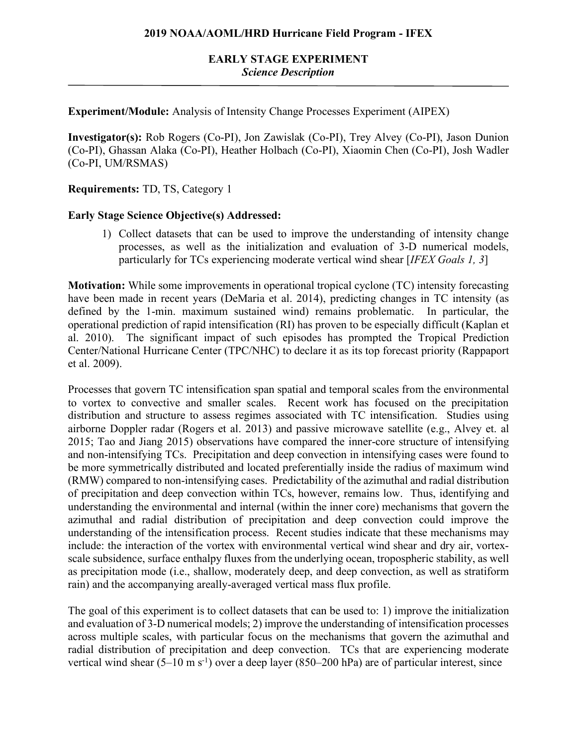# **EARLY STAGE EXPERIMENT** *Science Description*

**Experiment/Module:** Analysis of Intensity Change Processes Experiment (AIPEX)

**Investigator(s):** Rob Rogers (Co-PI), Jon Zawislak (Co-PI), Trey Alvey (Co-PI), Jason Dunion (Co-PI), Ghassan Alaka (Co-PI), Heather Holbach (Co-PI), Xiaomin Chen (Co-PI), Josh Wadler (Co-PI, UM/RSMAS)

**Requirements:** TD, TS, Category 1

#### **Early Stage Science Objective(s) Addressed:**

1) Collect datasets that can be used to improve the understanding of intensity change processes, as well as the initialization and evaluation of 3-D numerical models, particularly for TCs experiencing moderate vertical wind shear [*IFEX Goals 1, 3*]

**Motivation:** While some improvements in operational tropical cyclone (TC) intensity forecasting have been made in recent years (DeMaria et al. 2014), predicting changes in TC intensity (as defined by the 1-min. maximum sustained wind) remains problematic. In particular, the operational prediction of rapid intensification (RI) has proven to be especially difficult (Kaplan et al. 2010). The significant impact of such episodes has prompted the Tropical Prediction Center/National Hurricane Center (TPC/NHC) to declare it as its top forecast priority (Rappaport et al. 2009).

Processes that govern TC intensification span spatial and temporal scales from the environmental to vortex to convective and smaller scales. Recent work has focused on the precipitation distribution and structure to assess regimes associated with TC intensification. Studies using airborne Doppler radar (Rogers et al. 2013) and passive microwave satellite (e.g., Alvey et. al 2015; Tao and Jiang 2015) observations have compared the inner-core structure of intensifying and non-intensifying TCs. Precipitation and deep convection in intensifying cases were found to be more symmetrically distributed and located preferentially inside the radius of maximum wind (RMW) compared to non-intensifying cases. Predictability of the azimuthal and radial distribution of precipitation and deep convection within TCs, however, remains low. Thus, identifying and understanding the environmental and internal (within the inner core) mechanisms that govern the azimuthal and radial distribution of precipitation and deep convection could improve the understanding of the intensification process. Recent studies indicate that these mechanisms may include: the interaction of the vortex with environmental vertical wind shear and dry air, vortexscale subsidence, surface enthalpy fluxes from the underlying ocean, tropospheric stability, as well as precipitation mode (i.e., shallow, moderately deep, and deep convection, as well as stratiform rain) and the accompanying areally-averaged vertical mass flux profile.

The goal of this experiment is to collect datasets that can be used to: 1) improve the initialization and evaluation of 3-D numerical models; 2) improve the understanding of intensification processes across multiple scales, with particular focus on the mechanisms that govern the azimuthal and radial distribution of precipitation and deep convection. TCs that are experiencing moderate vertical wind shear  $(5-10 \text{ m s}^{-1})$  over a deep layer  $(850-200 \text{ hPa})$  are of particular interest, since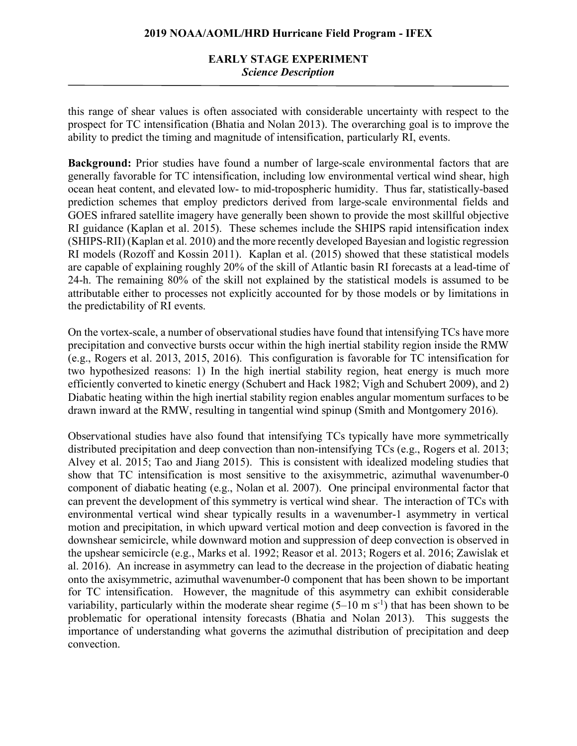# **EARLY STAGE EXPERIMENT** *Science Description*

this range of shear values is often associated with considerable uncertainty with respect to the prospect for TC intensification (Bhatia and Nolan 2013). The overarching goal is to improve the ability to predict the timing and magnitude of intensification, particularly RI, events.

**Background:** Prior studies have found a number of large-scale environmental factors that are generally favorable for TC intensification, including low environmental vertical wind shear, high ocean heat content, and elevated low- to mid-tropospheric humidity. Thus far, statistically-based prediction schemes that employ predictors derived from large-scale environmental fields and GOES infrared satellite imagery have generally been shown to provide the most skillful objective RI guidance (Kaplan et al. 2015). These schemes include the SHIPS rapid intensification index (SHIPS-RII) (Kaplan et al. 2010) and the more recently developed Bayesian and logistic regression RI models (Rozoff and Kossin 2011). Kaplan et al. (2015) showed that these statistical models are capable of explaining roughly 20% of the skill of Atlantic basin RI forecasts at a lead-time of 24-h. The remaining 80% of the skill not explained by the statistical models is assumed to be attributable either to processes not explicitly accounted for by those models or by limitations in the predictability of RI events.

On the vortex-scale, a number of observational studies have found that intensifying TCs have more precipitation and convective bursts occur within the high inertial stability region inside the RMW (e.g., Rogers et al. 2013, 2015, 2016). This configuration is favorable for TC intensification for two hypothesized reasons: 1) In the high inertial stability region, heat energy is much more efficiently converted to kinetic energy (Schubert and Hack 1982; Vigh and Schubert 2009), and 2) Diabatic heating within the high inertial stability region enables angular momentum surfaces to be drawn inward at the RMW, resulting in tangential wind spinup (Smith and Montgomery 2016).

Observational studies have also found that intensifying TCs typically have more symmetrically distributed precipitation and deep convection than non-intensifying TCs (e.g., Rogers et al. 2013; Alvey et al. 2015; Tao and Jiang 2015). This is consistent with idealized modeling studies that show that TC intensification is most sensitive to the axisymmetric, azimuthal wavenumber-0 component of diabatic heating (e.g., Nolan et al. 2007). One principal environmental factor that can prevent the development of this symmetry is vertical wind shear. The interaction of TCs with environmental vertical wind shear typically results in a wavenumber-1 asymmetry in vertical motion and precipitation, in which upward vertical motion and deep convection is favored in the downshear semicircle, while downward motion and suppression of deep convection is observed in the upshear semicircle (e.g., Marks et al. 1992; Reasor et al. 2013; Rogers et al. 2016; Zawislak et al. 2016). An increase in asymmetry can lead to the decrease in the projection of diabatic heating onto the axisymmetric, azimuthal wavenumber-0 component that has been shown to be important for TC intensification. However, the magnitude of this asymmetry can exhibit considerable variability, particularly within the moderate shear regime  $(5-10 \text{ m s}^{-1})$  that has been shown to be problematic for operational intensity forecasts (Bhatia and Nolan 2013). This suggests the importance of understanding what governs the azimuthal distribution of precipitation and deep convection.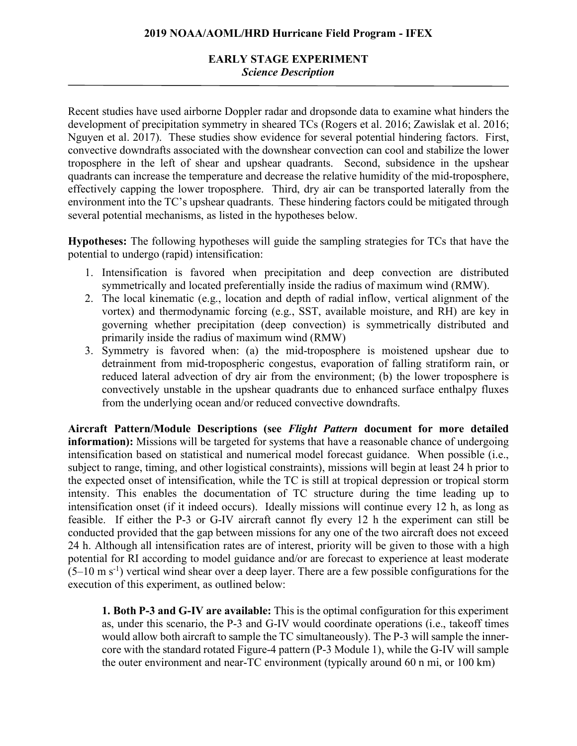# **EARLY STAGE EXPERIMENT** *Science Description*

Recent studies have used airborne Doppler radar and dropsonde data to examine what hinders the development of precipitation symmetry in sheared TCs (Rogers et al. 2016; Zawislak et al. 2016; Nguyen et al. 2017). These studies show evidence for several potential hindering factors. First, convective downdrafts associated with the downshear convection can cool and stabilize the lower troposphere in the left of shear and upshear quadrants. Second, subsidence in the upshear quadrants can increase the temperature and decrease the relative humidity of the mid-troposphere, effectively capping the lower troposphere. Third, dry air can be transported laterally from the environment into the TC's upshear quadrants. These hindering factors could be mitigated through several potential mechanisms, as listed in the hypotheses below.

**Hypotheses:** The following hypotheses will guide the sampling strategies for TCs that have the potential to undergo (rapid) intensification:

- 1. Intensification is favored when precipitation and deep convection are distributed symmetrically and located preferentially inside the radius of maximum wind (RMW).
- 2. The local kinematic (e.g., location and depth of radial inflow, vertical alignment of the vortex) and thermodynamic forcing (e.g., SST, available moisture, and RH) are key in governing whether precipitation (deep convection) is symmetrically distributed and primarily inside the radius of maximum wind (RMW)
- 3. Symmetry is favored when: (a) the mid-troposphere is moistened upshear due to detrainment from mid-tropospheric congestus, evaporation of falling stratiform rain, or reduced lateral advection of dry air from the environment; (b) the lower troposphere is convectively unstable in the upshear quadrants due to enhanced surface enthalpy fluxes from the underlying ocean and/or reduced convective downdrafts.

**Aircraft Pattern/Module Descriptions (see** *Flight Pattern* **document for more detailed information):** Missions will be targeted for systems that have a reasonable chance of undergoing intensification based on statistical and numerical model forecast guidance. When possible (i.e., subject to range, timing, and other logistical constraints), missions will begin at least 24 h prior to the expected onset of intensification, while the TC is still at tropical depression or tropical storm intensity. This enables the documentation of TC structure during the time leading up to intensification onset (if it indeed occurs). Ideally missions will continue every 12 h, as long as feasible. If either the P-3 or G-IV aircraft cannot fly every 12 h the experiment can still be conducted provided that the gap between missions for any one of the two aircraft does not exceed 24 h. Although all intensification rates are of interest, priority will be given to those with a high potential for RI according to model guidance and/or are forecast to experience at least moderate  $(5-10 \text{ m s}^{-1})$  vertical wind shear over a deep layer. There are a few possible configurations for the execution of this experiment, as outlined below:

**1. Both P-3 and G-IV are available:** This is the optimal configuration for this experiment as, under this scenario, the P-3 and G-IV would coordinate operations (i.e., takeoff times would allow both aircraft to sample the TC simultaneously). The P-3 will sample the innercore with the standard rotated Figure-4 pattern (P-3 Module 1), while the G-IV will sample the outer environment and near-TC environment (typically around 60 n mi, or 100 km)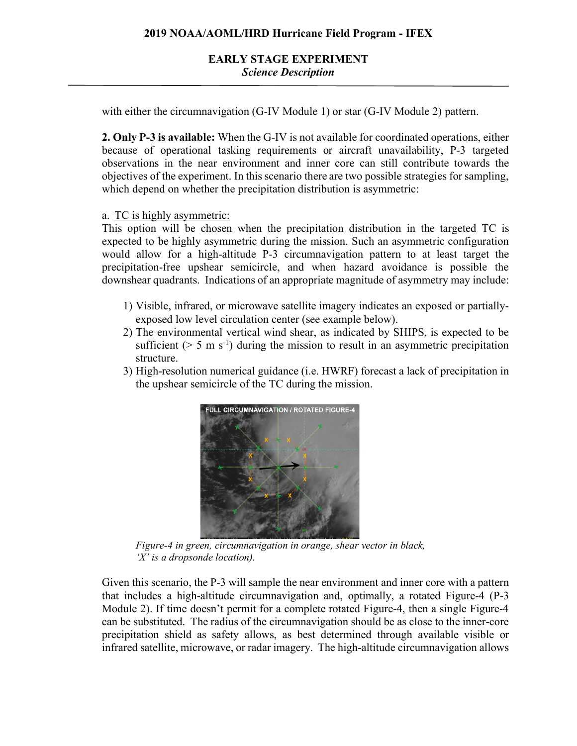with either the circumnavigation (G-IV Module 1) or star (G-IV Module 2) pattern.

**2. Only P-3 is available:** When the G-IV is not available for coordinated operations, either because of operational tasking requirements or aircraft unavailability, P-3 targeted observations in the near environment and inner core can still contribute towards the objectives of the experiment. In this scenario there are two possible strategies for sampling, which depend on whether the precipitation distribution is asymmetric:

a. TC is highly asymmetric:

This option will be chosen when the precipitation distribution in the targeted TC is expected to be highly asymmetric during the mission. Such an asymmetric configuration would allow for a high-altitude P-3 circumnavigation pattern to at least target the precipitation-free upshear semicircle, and when hazard avoidance is possible the downshear quadrants. Indications of an appropriate magnitude of asymmetry may include:

- 1) Visible, infrared, or microwave satellite imagery indicates an exposed or partiallyexposed low level circulation center (see example below).
- 2) The environmental vertical wind shear, as indicated by SHIPS, is expected to be sufficient ( $> 5$  m s<sup>-1</sup>) during the mission to result in an asymmetric precipitation structure.
- 3) High-resolution numerical guidance (i.e. HWRF) forecast a lack of precipitation in the upshear semicircle of the TC during the mission.



*Figure-4 in green, circumnavigation in orange, shear vector in black, 'X' is a dropsonde location).*

Given this scenario, the P-3 will sample the near environment and inner core with a pattern that includes a high-altitude circumnavigation and, optimally, a rotated Figure-4 (P-3 Module 2). If time doesn't permit for a complete rotated Figure-4, then a single Figure-4 can be substituted. The radius of the circumnavigation should be as close to the inner-core precipitation shield as safety allows, as best determined through available visible or infrared satellite, microwave, or radar imagery. The high-altitude circumnavigation allows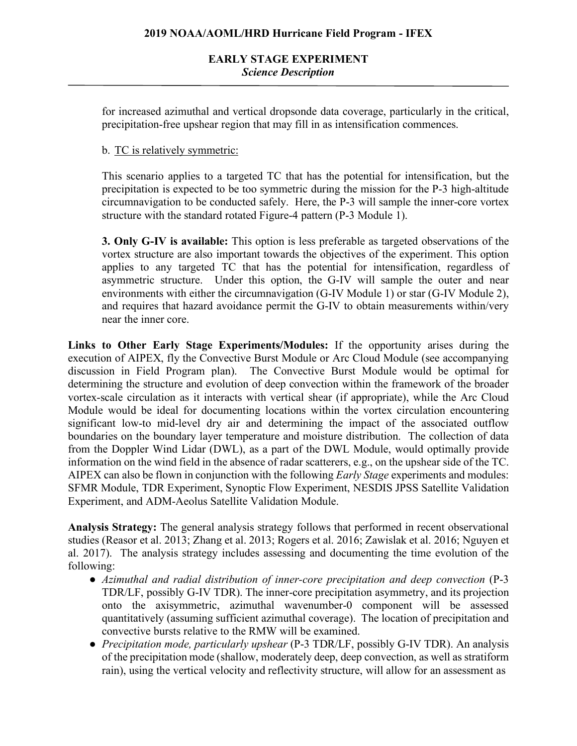for increased azimuthal and vertical dropsonde data coverage, particularly in the critical, precipitation-free upshear region that may fill in as intensification commences.

## b. TC is relatively symmetric:

This scenario applies to a targeted TC that has the potential for intensification, but the precipitation is expected to be too symmetric during the mission for the P-3 high-altitude circumnavigation to be conducted safely. Here, the P-3 will sample the inner-core vortex structure with the standard rotated Figure-4 pattern (P-3 Module 1).

**3. Only G-IV is available:** This option is less preferable as targeted observations of the vortex structure are also important towards the objectives of the experiment. This option applies to any targeted TC that has the potential for intensification, regardless of asymmetric structure. Under this option, the G-IV will sample the outer and near environments with either the circumnavigation (G-IV Module 1) or star (G-IV Module 2), and requires that hazard avoidance permit the G-IV to obtain measurements within/very near the inner core.

**Links to Other Early Stage Experiments/Modules:** If the opportunity arises during the execution of AIPEX, fly the Convective Burst Module or Arc Cloud Module (see accompanying discussion in Field Program plan). The Convective Burst Module would be optimal for determining the structure and evolution of deep convection within the framework of the broader vortex-scale circulation as it interacts with vertical shear (if appropriate), while the Arc Cloud Module would be ideal for documenting locations within the vortex circulation encountering significant low-to mid-level dry air and determining the impact of the associated outflow boundaries on the boundary layer temperature and moisture distribution. The collection of data from the Doppler Wind Lidar (DWL), as a part of the DWL Module, would optimally provide information on the wind field in the absence of radar scatterers, e.g., on the upshear side of the TC. AIPEX can also be flown in conjunction with the following *Early Stage* experiments and modules: SFMR Module, TDR Experiment, Synoptic Flow Experiment, NESDIS JPSS Satellite Validation Experiment, and ADM-Aeolus Satellite Validation Module.

**Analysis Strategy:** The general analysis strategy follows that performed in recent observational studies (Reasor et al. 2013; Zhang et al. 2013; Rogers et al. 2016; Zawislak et al. 2016; Nguyen et al. 2017). The analysis strategy includes assessing and documenting the time evolution of the following:

- *Azimuthal and radial distribution of inner-core precipitation and deep convection* (P-3 TDR/LF, possibly G-IV TDR). The inner-core precipitation asymmetry, and its projection onto the axisymmetric, azimuthal wavenumber-0 component will be assessed quantitatively (assuming sufficient azimuthal coverage). The location of precipitation and convective bursts relative to the RMW will be examined.
- *Precipitation mode, particularly upshear* (P-3 TDR/LF, possibly G-IV TDR). An analysis of the precipitation mode (shallow, moderately deep, deep convection, as well as stratiform rain), using the vertical velocity and reflectivity structure, will allow for an assessment as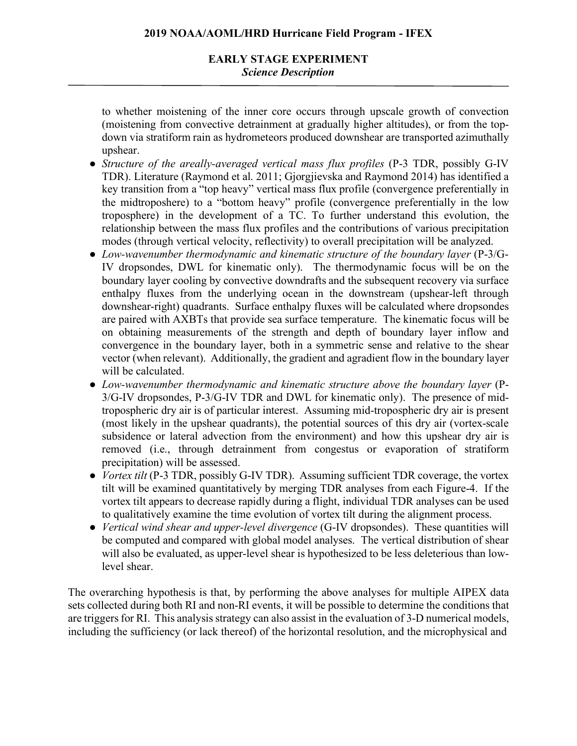# **EARLY STAGE EXPERIMENT** *Science Description*

to whether moistening of the inner core occurs through upscale growth of convection (moistening from convective detrainment at gradually higher altitudes), or from the topdown via stratiform rain as hydrometeors produced downshear are transported azimuthally upshear.

- *Structure of the areally-averaged vertical mass flux profiles* (P-3 TDR, possibly G-IV TDR). Literature (Raymond et al. 2011; Gjorgjievska and Raymond 2014) has identified a key transition from a "top heavy" vertical mass flux profile (convergence preferentially in the midtroposhere) to a "bottom heavy" profile (convergence preferentially in the low troposphere) in the development of a TC. To further understand this evolution, the relationship between the mass flux profiles and the contributions of various precipitation modes (through vertical velocity, reflectivity) to overall precipitation will be analyzed.
- *Low-wavenumber thermodynamic and kinematic structure of the boundary layer* (P-3/G-IV dropsondes, DWL for kinematic only). The thermodynamic focus will be on the boundary layer cooling by convective downdrafts and the subsequent recovery via surface enthalpy fluxes from the underlying ocean in the downstream (upshear-left through downshear-right) quadrants. Surface enthalpy fluxes will be calculated where dropsondes are paired with AXBTs that provide sea surface temperature. The kinematic focus will be on obtaining measurements of the strength and depth of boundary layer inflow and convergence in the boundary layer, both in a symmetric sense and relative to the shear vector (when relevant). Additionally, the gradient and agradient flow in the boundary layer will be calculated.
- *Low-wavenumber thermodynamic and kinematic structure above the boundary layer* (P-3/G-IV dropsondes, P-3/G-IV TDR and DWL for kinematic only). The presence of midtropospheric dry air is of particular interest. Assuming mid-tropospheric dry air is present (most likely in the upshear quadrants), the potential sources of this dry air (vortex-scale subsidence or lateral advection from the environment) and how this upshear dry air is removed (i.e., through detrainment from congestus or evaporation of stratiform precipitation) will be assessed.
- *Vortex tilt* (P-3 TDR, possibly G-IV TDR). Assuming sufficient TDR coverage, the vortex tilt will be examined quantitatively by merging TDR analyses from each Figure-4. If the vortex tilt appears to decrease rapidly during a flight, individual TDR analyses can be used to qualitatively examine the time evolution of vortex tilt during the alignment process.
- *Vertical wind shear and upper-level divergence* (G-IV dropsondes). These quantities will be computed and compared with global model analyses. The vertical distribution of shear will also be evaluated, as upper-level shear is hypothesized to be less deleterious than lowlevel shear.

The overarching hypothesis is that, by performing the above analyses for multiple AIPEX data sets collected during both RI and non-RI events, it will be possible to determine the conditions that are triggers for RI. This analysis strategy can also assist in the evaluation of 3-D numerical models, including the sufficiency (or lack thereof) of the horizontal resolution, and the microphysical and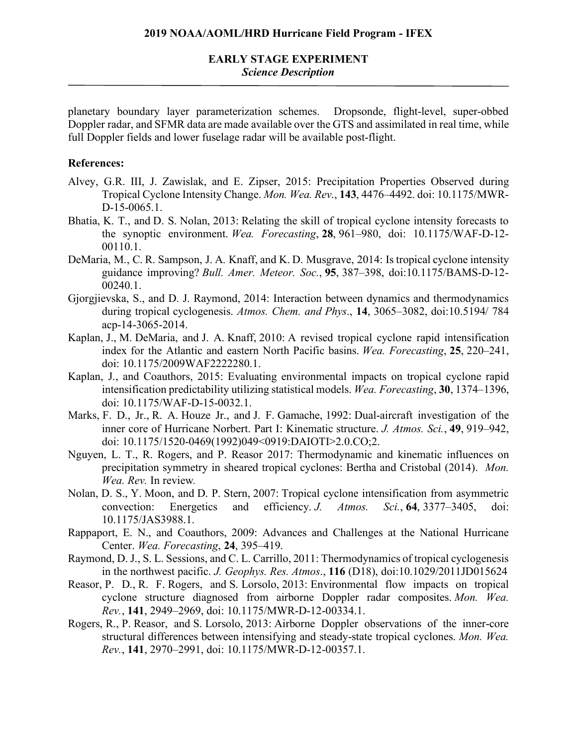## **EARLY STAGE EXPERIMENT** *Science Description*

planetary boundary layer parameterization schemes. Dropsonde, flight-level, super-obbed Doppler radar, and SFMR data are made available over the GTS and assimilated in real time, while full Doppler fields and lower fuselage radar will be available post-flight.

#### **References:**

- Alvey, G.R. III, J. Zawislak, and E. Zipser, 2015: Precipitation Properties Observed during Tropical Cyclone Intensity Change. *Mon. Wea. Rev*., **143**, 4476–4492. doi: 10.1175/MWR-D-15-0065.1.
- Bhatia, K. T., and D. S. Nolan, 2013: Relating the skill of tropical cyclone intensity forecasts to the synoptic environment. *Wea. Forecasting*, **28**, 961–980, doi: 10.1175/WAF-D-12- 00110.1.
- DeMaria, M., C. R. Sampson, J. A. Knaff, and K. D. Musgrave, 2014: Is tropical cyclone intensity guidance improving? *Bull. Amer. Meteor. Soc.*, **95**, 387–398, doi:10.1175/BAMS-D-12- 00240.1.
- Gjorgjievska, S., and D. J. Raymond, 2014: Interaction between dynamics and thermodynamics during tropical cyclogenesis. *Atmos. Chem. and Phys*., **14**, 3065–3082, doi:10.5194/ 784 acp-14-3065-2014.
- Kaplan, J., M. DeMaria, and J. A. Knaff, 2010: A revised tropical cyclone rapid intensification index for the Atlantic and eastern North Pacific basins. *Wea. Forecasting*, **25**, 220–241, doi: 10.1175/2009WAF2222280.1.
- Kaplan, J., and Coauthors, 2015: Evaluating environmental impacts on tropical cyclone rapid intensification predictability utilizing statistical models. *Wea. Forecasting*, **30**, 1374–1396, doi: 10.1175/WAF-D-15-0032.1.
- Marks, F. D., Jr., R. A. Houze Jr., and J. F. Gamache, 1992: Dual-aircraft investigation of the inner core of Hurricane Norbert. Part I: Kinematic structure. *J. Atmos. Sci.*, **49**, 919–942, doi: 10.1175/1520-0469(1992)049<0919:DAIOTI>2.0.CO;2.
- Nguyen, L. T., R. Rogers, and P. Reasor 2017: Thermodynamic and kinematic influences on precipitation symmetry in sheared tropical cyclones: Bertha and Cristobal (2014). *Mon. Wea. Rev.* In review*.*
- Nolan, D. S., Y. Moon, and D. P. Stern, 2007: Tropical cyclone intensification from asymmetric convection: Energetics and efficiency. *J. Atmos. Sci.*, **64**, 3377–3405, doi: 10.1175/JAS3988.1.
- Rappaport, E. N., and Coauthors, 2009: Advances and Challenges at the National Hurricane Center. *Wea. Forecasting*, **24**, 395–419.
- Raymond, D. J., S. L. Sessions, and C. L. Carrillo, 2011: Thermodynamics of tropical cyclogenesis in the northwest pacific. *J. Geophys. Res. Atmos*., **116** (D18), doi:10.1029/2011JD015624
- Reasor, P. D., R. F. Rogers, and S. Lorsolo, 2013: Environmental flow impacts on tropical cyclone structure diagnosed from airborne Doppler radar composites. *Mon. Wea. Rev.*, **141**, 2949–2969, doi: 10.1175/MWR-D-12-00334.1.
- Rogers, R., P. Reasor, and S. Lorsolo, 2013: Airborne Doppler observations of the inner-core structural differences between intensifying and steady-state tropical cyclones. *Mon. Wea. Rev.*, **141**, 2970–2991, doi: 10.1175/MWR-D-12-00357.1.